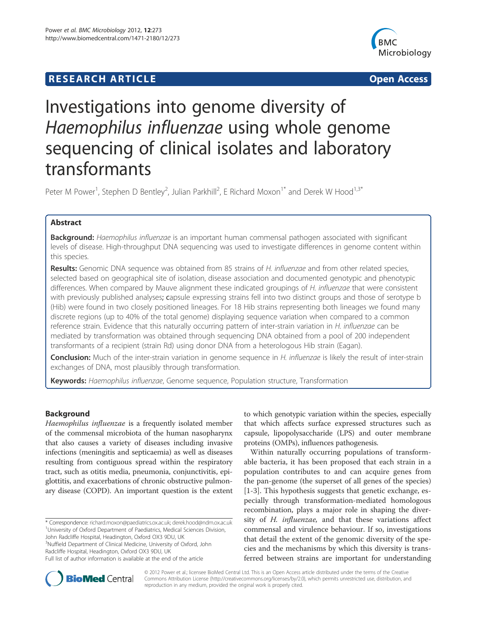## **RESEARCH ARTICLE Example 2014 12:30 The SEAR CHIPS 2014 12:30 The SEAR CHIPS 2014 12:30 The SEAR CHIPS 2014 12:30**



# Investigations into genome diversity of Haemophilus influenzae using whole genome sequencing of clinical isolates and laboratory transformants

Peter M Power<sup>1</sup>, Stephen D Bentley<sup>2</sup>, Julian Parkhill<sup>2</sup>, E Richard Moxon<sup>1\*</sup> and Derek W Hood<sup>1,3\*</sup>

## Abstract

Background: Haemophilus influenzae is an important human commensal pathogen associated with significant levels of disease. High-throughput DNA sequencing was used to investigate differences in genome content within this species.

Results: Genomic DNA sequence was obtained from 85 strains of H. influenzae and from other related species, selected based on geographical site of isolation, disease association and documented genotypic and phenotypic differences. When compared by Mauve alignment these indicated groupings of H. influenzae that were consistent with previously published analyses; capsule expressing strains fell into two distinct groups and those of serotype b (Hib) were found in two closely positioned lineages. For 18 Hib strains representing both lineages we found many discrete regions (up to 40% of the total genome) displaying sequence variation when compared to a common reference strain. Evidence that this naturally occurring pattern of inter-strain variation in H. influenzae can be mediated by transformation was obtained through sequencing DNA obtained from a pool of 200 independent transformants of a recipient (strain Rd) using donor DNA from a heterologous Hib strain (Eagan).

Conclusion: Much of the inter-strain variation in genome sequence in H. influenzae is likely the result of inter-strain exchanges of DNA, most plausibly through transformation.

Keywords: Haemophilus influenzae, Genome sequence, Population structure, Transformation

## Background

Haemophilus influenzae is a frequently isolated member of the commensal microbiota of the human nasopharynx that also causes a variety of diseases including invasive infections (meningitis and septicaemia) as well as diseases resulting from contiguous spread within the respiratory tract, such as otitis media, pneumonia, conjunctivitis, epiglottitis, and exacerbations of chronic obstructive pulmonary disease (COPD). An important question is the extent

<sup>3</sup>Nuffield Department of Clinical Medicine, University of Oxford, John Radcliffe Hospital, Headington, Oxford OX3 9DU, UK

to which genotypic variation within the species, especially that which affects surface expressed structures such as capsule, lipopolysaccharide (LPS) and outer membrane proteins (OMPs), influences pathogenesis.

Within naturally occurring populations of transformable bacteria, it has been proposed that each strain in a population contributes to and can acquire genes from the pan-genome (the superset of all genes of the species) [1-3]. This hypothesis suggests that genetic exchange, especially through transformation-mediated homologous recombination, plays a major role in shaping the diversity of H. influenzae, and that these variations affect commensal and virulence behaviour. If so, investigations that detail the extent of the genomic diversity of the species and the mechanisms by which this diversity is transferred between strains are important for understanding



© 2012 Power et al.; licensee BioMed Central Ltd. This is an Open Access article distributed under the terms of the Creative Commons Attribution License (http://creativecommons.org/licenses/by/2.0), which permits unrestricted use, distribution, and reproduction in any medium, provided the original work is properly cited.

<sup>\*</sup> Correspondence: richard.moxon@paediatrics.ox.ac.uk; derek.hood@ndm.ox.ac.uk <sup>1</sup> <sup>1</sup>University of Oxford Department of Paediatrics, Medical Sciences Division, John Radcliffe Hospital, Headington, Oxford OX3 9DU, UK

Full list of author information is available at the end of the article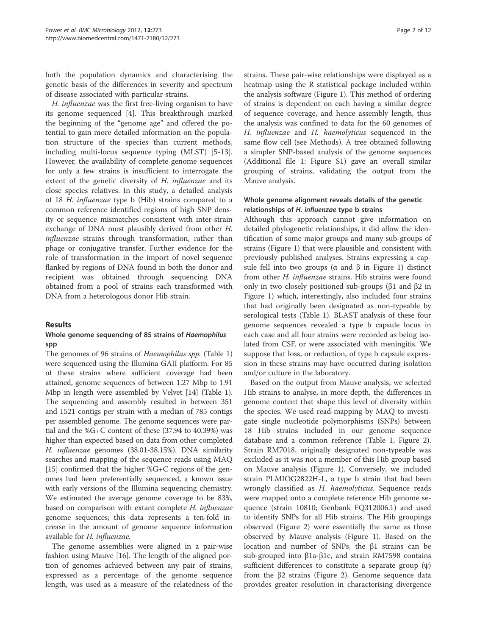both the population dynamics and characterising the genetic basis of the differences in severity and spectrum of disease associated with particular strains.

H. influenzae was the first free-living organism to have its genome sequenced [4]. This breakthrough marked the beginning of the "genome age" and offered the potential to gain more detailed information on the population structure of the species than current methods, including multi-locus sequence typing (MLST) [5-13]. However, the availability of complete genome sequences for only a few strains is insufficient to interrogate the extent of the genetic diversity of H. influenzae and its close species relatives. In this study, a detailed analysis of 18 H. influenzae type b (Hib) strains compared to a common reference identified regions of high SNP density or sequence mismatches consistent with inter-strain exchange of DNA most plausibly derived from other H. influenzae strains through transformation, rather than phage or conjugative transfer. Further evidence for the role of transformation in the import of novel sequence flanked by regions of DNA found in both the donor and recipient was obtained through sequencing DNA obtained from a pool of strains each transformed with DNA from a heterologous donor Hib strain.

#### Results

## Whole genome sequencing of 85 strains of Haemophilus spp

The genomes of 96 strains of Haemophilus spp. (Table 1) were sequenced using the Illumina GAII platform. For 85 of these strains where sufficient coverage had been attained, genome sequences of between 1.27 Mbp to 1.91 Mbp in length were assembled by Velvet [14] (Table 1). The sequencing and assembly resulted in between 351 and 1521 contigs per strain with a median of 785 contigs per assembled genome. The genome sequences were partial and the %G+C content of these (37.94 to 40.39%) was higher than expected based on data from other completed H. influenzae genomes (38.01-38.15%). DNA similarity searches and mapping of the sequence reads using MAQ [15] confirmed that the higher  $%G+C$  regions of the genomes had been preferentially sequenced, a known issue with early versions of the Illumina sequencing chemistry. We estimated the average genome coverage to be 83%, based on comparison with extant complete H. influenzae genome sequences; this data represents a ten-fold increase in the amount of genome sequence information available for H. influenzae.

The genome assemblies were aligned in a pair-wise fashion using Mauve [16]. The length of the aligned portion of genomes achieved between any pair of strains, expressed as a percentage of the genome sequence length, was used as a measure of the relatedness of the

strains. These pair-wise relationships were displayed as a heatmap using the R statistical package included within the analysis software (Figure 1). This method of ordering of strains is dependent on each having a similar degree of sequence coverage, and hence assembly length, thus the analysis was confined to data for the 60 genomes of H. influenzae and H. haemolyticus sequenced in the same flow cell (see Methods). A tree obtained following a simpler SNP-based analysis of the genome sequences (Additional file 1: Figure S1) gave an overall similar grouping of strains, validating the output from the Mauve analysis.

#### Whole genome alignment reveals details of the genetic relationships of H. influenzae type b strains

Although this approach cannot give information on detailed phylogenetic relationships, it did allow the identification of some major groups and many sub-groups of strains (Figure 1) that were plausible and consistent with previously published analyses. Strains expressing a capsule fell into two groups (α and β in Figure 1) distinct from other *H. influenzae* strains. Hib strains were found only in two closely positioned sub-groups (β1 and β2 in Figure 1) which, interestingly, also included four strains that had originally been designated as non-typeable by serological tests (Table 1). BLAST analysis of these four genome sequences revealed a type b capsule locus in each case and all four strains were recorded as being isolated from CSF, or were associated with meningitis. We suppose that loss, or reduction, of type b capsule expression in these strains may have occurred during isolation and/or culture in the laboratory.

Based on the output from Mauve analysis, we selected Hib strains to analyse, in more depth, the differences in genome content that shape this level of diversity within the species. We used read-mapping by MAQ to investigate single nucleotide polymorphisms (SNPs) between 18 Hib strains included in our genome sequence database and a common reference (Table 1, Figure 2). Strain RM7018, originally designated non-typeable was excluded as it was not a member of this Hib group based on Mauve analysis (Figure 1). Conversely, we included strain PLMIOG2822H-L, a type b strain that had been wrongly classified as H. haemolyticus. Sequence reads were mapped onto a complete reference Hib genome sequence (strain 10810; Genbank FQ312006.1) and used to identify SNPs for all Hib strains. The Hib groupings observed (Figure 2) were essentially the same as those observed by Mauve analysis (Figure 1). Based on the location and number of SNPs, the β1 strains can be sub-grouped into β1a-β1e, and strain RM7598 contains sufficient differences to constitute a separate group (ψ) from the β2 strains (Figure 2). Genome sequence data provides greater resolution in characterising divergence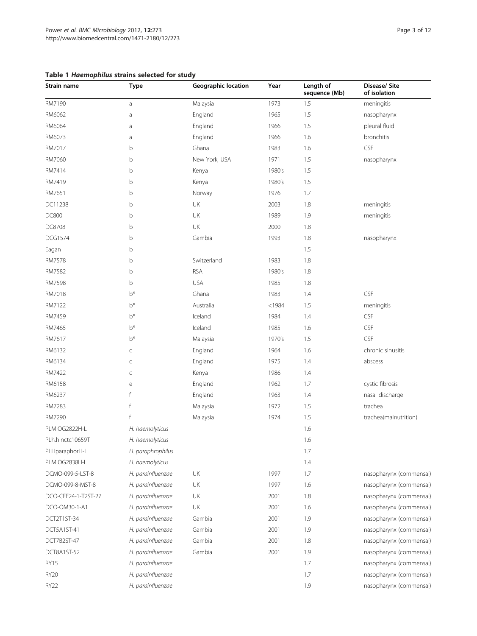|  | Table 1 Haemophilus strains selected for study |  |  |  |
|--|------------------------------------------------|--|--|--|
|  |                                                |  |  |  |

| Strain name         | <b>Type</b>       | Geographic location | Year   | Length of<br>sequence (Mb) | Disease/ Site<br>of isolation |
|---------------------|-------------------|---------------------|--------|----------------------------|-------------------------------|
| RM7190              | a                 | Malaysia            | 1973   | 1.5                        | meningitis                    |
| RM6062              | a                 | England             | 1965   | 1.5                        | nasopharynx                   |
| RM6064              | a                 | England             | 1966   | 1.5                        | pleural fluid                 |
| RM6073              | a                 | England             | 1966   | 1.6                        | bronchitis                    |
| RM7017              | b                 | Ghana               | 1983   | 1.6                        | CSF                           |
| RM7060              | b                 | New York, USA       | 1971   | 1.5                        | nasopharynx                   |
| RM7414              | b                 | Kenya               | 1980's | 1.5                        |                               |
| RM7419              | b                 | Kenya               | 1980's | 1.5                        |                               |
| RM7651              | b                 | Norway              | 1976   | 1.7                        |                               |
| DC11238             | b                 | UK                  | 2003   | 1.8                        | meningitis                    |
| <b>DC800</b>        | b                 | UK                  | 1989   | 1.9                        | meningitis                    |
| DC8708              | b                 | UK                  | 2000   | 1.8                        |                               |
| <b>DCG1574</b>      | b                 | Gambia              | 1993   | 1.8                        | nasopharynx                   |
| Eagan               | b                 |                     |        | 1.5                        |                               |
| RM7578              | b                 | Switzerland         | 1983   | 1.8                        |                               |
| RM7582              | b                 | <b>RSA</b>          | 1980's | $1.8\,$                    |                               |
| RM7598              | b                 | <b>USA</b>          | 1985   | 1.8                        |                               |
| RM7018              | b*                | Ghana               | 1983   | 1.4                        | CSF                           |
| RM7122              | b*                | Australia           | < 1984 | 1.5                        | meningitis                    |
| RM7459              | $b^*$             | Iceland             | 1984   | 1.4                        | CSF                           |
| RM7465              | b*                | Iceland             | 1985   | 1.6                        | CSF                           |
| RM7617              | $b^*$             | Malaysia            | 1970's | 1.5                        | CSF                           |
| RM6132              | $\mathsf C$       | England             | 1964   | 1.6                        | chronic sinusitis             |
| RM6134              | C                 | England             | 1975   | 1.4                        | abscess                       |
| RM7422              | $\mathsf C$       | Kenya               | 1986   | 1.4                        |                               |
| RM6158              | e                 | England             | 1962   | 1.7                        | cystic fibrosis               |
| RM6237              | f                 | England             | 1963   | 1.4                        | nasal discharge               |
| RM7283              | f                 | Malaysia            | 1972   | 1.5                        | trachea                       |
| RM7290              |                   | Malaysia            | 1974   | 1.5                        | trachea(malnutrition)         |
| PLMIOG2822H-L       | H. haemolyticus   |                     |        | 1.6                        |                               |
| PLh.hlnctc10659T    | H. haemolyticus   |                     |        | 1.6                        |                               |
| PLHparaphorH-L      | H. paraphrophilus |                     |        | 1.7                        |                               |
| PLMIOG2838H-L       | H. haemolyticus   |                     |        | 1.4                        |                               |
| DCMO-099-5-LST-8    | H. parainfluenzae | UK                  | 1997   | 1.7                        | nasopharynx (commensal)       |
| DCMO-099-8-MST-8    | H. parainfluenzae | UK                  | 1997   | 1.6                        | nasopharynx (commensal)       |
| DCO-CFE24-1-T2ST-27 | H. parainfluenzae | UK                  | 2001   | 1.8                        | nasopharynx (commensal)       |
| DCO-OM30-1-A1       | H. parainfluenzae | UK                  | 2001   | 1.6                        | nasopharynx (commensal)       |
| DCT2T1ST-34         | H. parainfluenzae | Gambia              | 2001   | 1.9                        | nasopharynx (commensal)       |
| DCT5A1ST-41         | H. parainfluenzae | Gambia              | 2001   | 1.9                        | nasopharynx (commensal)       |
| DCT7B2ST-47         | H. parainfluenzae | Gambia              | 2001   | 1.8                        | nasopharynx (commensal)       |
| DCT8A1ST-52         | H. parainfluenzae | Gambia              | 2001   | 1.9                        | nasopharynx (commensal)       |
| <b>RY15</b>         | H. parainfluenzae |                     |        | 1.7                        | nasopharynx (commensal)       |
| <b>RY20</b>         | H. parainfluenzae |                     |        | 1.7                        | nasopharynx (commensal)       |
| <b>RY22</b>         | H. parainfluenzae |                     |        | 1.9                        | nasopharynx (commensal)       |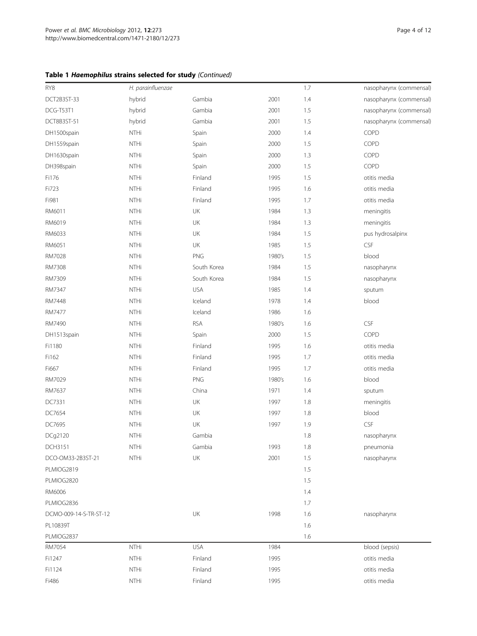## Table 1 Haemophilus strains selected for study (Continued)

| RY8                    | H. parainfluenzae |             |        | 1.7     | nasopharynx (commensal)     |
|------------------------|-------------------|-------------|--------|---------|-----------------------------|
| DCT2B3ST-33            | hybrid            | Gambia      | 2001   | $1.4\,$ | nasopharynx (commensal)     |
| DCG-T53T1              | hybrid            | Gambia      | 2001   | 1.5     | nasopharynx (commensal)     |
| DCT8B3ST-51            | hybrid            | Gambia      | 2001   | 1.5     | nasopharynx (commensal)     |
| DH1500spain            | NTHi              | Spain       | 2000   | 1.4     | COPD                        |
| DH1559spain            | <b>NTHi</b>       | Spain       | 2000   | 1.5     | COPD                        |
| DH1630spain            | NTHi              | Spain       | 2000   | 1.3     | COPD                        |
| DH398spain             | NTHi              | Spain       | 2000   | 1.5     | COPD                        |
| Fi176                  | NTHi              | Finland     | 1995   | 1.5     | otitis media                |
| Fi723                  | NTHi              | Finland     | 1995   | 1.6     | otitis media                |
| Fi981                  | NTHi              | Finland     | 1995   | 1.7     | otitis media                |
| RM6011                 | NTHi              | UK          | 1984   | 1.3     | meningitis                  |
| RM6019                 | NTHi              | UK          | 1984   | 1.3     | meningitis                  |
| RM6033                 | NTHi              | UK          | 1984   | 1.5     | pus hydrosalpinx            |
| RM6051                 | NTHi              | UK          | 1985   | 1.5     | CSF                         |
| RM7028                 | NTHi              | PNG         | 1980's | 1.5     | blood                       |
| RM7308                 | NTHi              | South Korea | 1984   | 1.5     | nasopharynx                 |
| RM7309                 | NTHi              | South Korea | 1984   | 1.5     | nasopharynx                 |
| RM7347                 | NTHi              | <b>USA</b>  | 1985   | $1.4\,$ | sputum                      |
| RM7448                 | NTHi              | Iceland     | 1978   | 1.4     | blood                       |
| RM7477                 | NTHi              | Iceland     | 1986   | 1.6     |                             |
| RM7490                 | NTHi              | <b>RSA</b>  | 1980's | 1.6     | $\ensuremath{\mathsf{CSF}}$ |
| DH1513spain            | NTHi              | Spain       | 2000   | 1.5     | COPD                        |
| Fi1180                 | NTHi              | Finland     | 1995   | 1.6     | otitis media                |
| Fi162                  | NTHi              | Finland     | 1995   | 1.7     | otitis media                |
| Fi667                  | NTHi              | Finland     | 1995   | 1.7     | otitis media                |
| RM7029                 | NTHi              | PNG         | 1980's | 1.6     | blood                       |
| RM7637                 | NTHi              | China       | 1971   | 1.4     | sputum                      |
| DC7331                 | NTHi              | UK          | 1997   | 1.8     | meningitis                  |
| DC7654                 | NTHi              | UK          | 1997   | 1.8     | blood                       |
| DC7695                 | NTHi              | UK          | 1997   | 1.9     | CSF                         |
| DCg2120                | NTHi              | Gambia      |        | 1.8     | nasopharynx                 |
| DCH3151                | NTHi              | Gambia      | 1993   | 1.8     | pneumonia                   |
| DCO-OM33-2B3ST-21      | NTHi              | UK          | 2001   | 1.5     | nasopharynx                 |
| PLMIOG2819             |                   |             |        | 1.5     |                             |
| PLMIOG2820             |                   |             |        | 1.5     |                             |
| RM6006                 |                   |             |        | 1.4     |                             |
| PLMIOG2836             |                   |             |        | 1.7     |                             |
| DCMO-009-14-S-TR-ST-12 |                   | UK          | 1998   | 1.6     | nasopharynx                 |
| PL10839T               |                   |             |        | 1.6     |                             |
| PLMIOG2837             |                   |             |        | 1.6     |                             |
| RM7054                 | NTHi              | <b>USA</b>  | 1984   |         | blood (sepsis)              |
| Fi1247                 | NTHi              | Finland     | 1995   |         | otitis media                |
| Fi1124                 | NTHi              | Finland     | 1995   |         | otitis media                |
| Fi486                  | NTHi              | Finland     | 1995   |         | otitis media                |
|                        |                   |             |        |         |                             |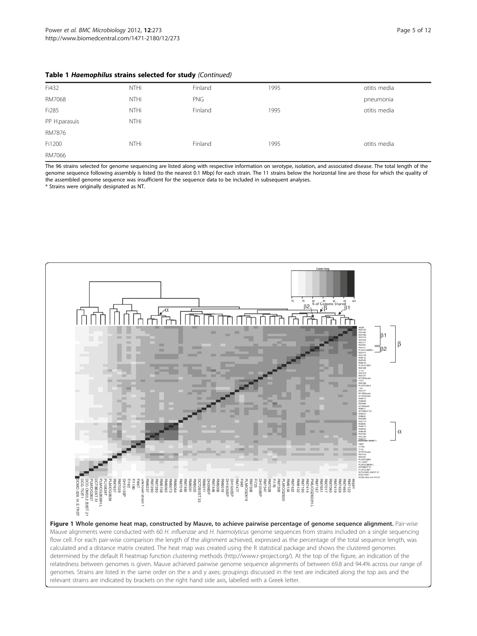#### Table 1 Haemophilus strains selected for study (Continued)

| Fi432         | <b>NTHi</b> | Finland | 1995 | otitis media |
|---------------|-------------|---------|------|--------------|
| RM7068        | <b>NTHi</b> | PNG     |      | pneumonia    |
| Fi285         | <b>NTHi</b> | Finland | 1995 | otitis media |
| PP H.parasuis | <b>NTHi</b> |         |      |              |
| RM7876        |             |         |      |              |
| Fi1200        | <b>NTHi</b> | Finland | 1995 | otitis media |
| RM7066        |             |         |      |              |

The 96 strains selected for genome sequencing are listed along with respective information on serotype, isolation, and associated disease. The total length of the genome sequence following assembly is listed (to the nearest 0.1 Mbp) for each strain. The 11 strains below the horizontal line are those for which the quality of the assembled genome sequence was insufficient for the sequence data to be included in subsequent analyses.

\* Strains were originally designated as NT.



relevant strains are indicated by brackets on the right hand side axis, labelled with a Greek letter.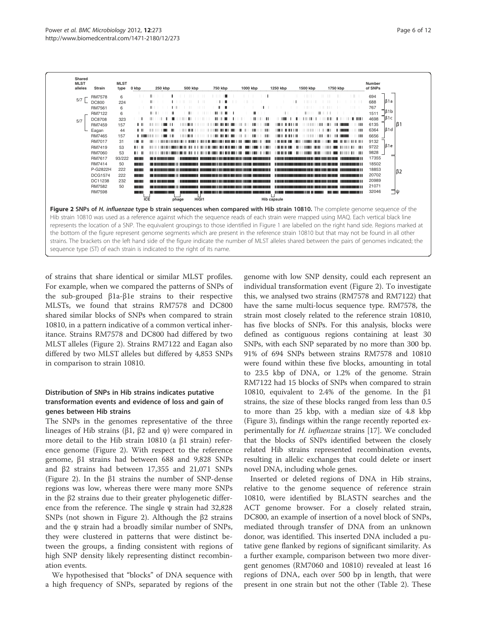

of strains that share identical or similar MLST profiles. For example, when we compared the patterns of SNPs of the sub-grouped β1a-β1e strains to their respective MLSTs, we found that strains RM7578 and DC800 shared similar blocks of SNPs when compared to strain 10810, in a pattern indicative of a common vertical inheritance. Strains RM7578 and DC800 had differed by two MLST alleles (Figure 2). Strains RM7122 and Eagan also differed by two MLST alleles but differed by 4,853 SNPs in comparison to strain 10810.

## Distribution of SNPs in Hib strains indicates putative transformation events and evidence of loss and gain of genes between Hib strains

The SNPs in the genomes representative of the three lineages of Hib strains (β1, β2 and ψ) were compared in more detail to the Hib strain 10810 (a β1 strain) reference genome (Figure 2). With respect to the reference genome, β1 strains had between 688 and 9,828 SNPs and β2 strains had between 17,355 and 21,071 SNPs (Figure 2). In the  $\beta$ 1 strains the number of SNP-dense regions was low, whereas there were many more SNPs in the β2 strains due to their greater phylogenetic difference from the reference. The single  $\psi$  strain had 32,828 SNPs (not shown in Figure 2). Although the β2 strains and the  $\psi$  strain had a broadly similar number of SNPs, they were clustered in patterns that were distinct between the groups, a finding consistent with regions of high SNP density likely representing distinct recombination events.

We hypothesised that "blocks" of DNA sequence with a high frequency of SNPs, separated by regions of the genome with low SNP density, could each represent an individual transformation event (Figure 2). To investigate this, we analysed two strains (RM7578 and RM7122) that have the same multi-locus sequence type. RM7578, the strain most closely related to the reference strain 10810, has five blocks of SNPs. For this analysis, blocks were defined as contiguous regions containing at least 30 SNPs, with each SNP separated by no more than 300 bp. 91% of 694 SNPs between strains RM7578 and 10810 were found within these five blocks, amounting in total to 23.5 kbp of DNA, or 1.2% of the genome. Strain RM7122 had 15 blocks of SNPs when compared to strain 10810, equivalent to 2.4% of the genome. In the β1 strains, the size of these blocks ranged from less than 0.5 to more than 25 kbp, with a median size of 4.8 kbp (Figure 3), findings within the range recently reported experimentally for H. influenzae strains [17]. We concluded that the blocks of SNPs identified between the closely related Hib strains represented recombination events, resulting in allelic exchanges that could delete or insert novel DNA, including whole genes.

Inserted or deleted regions of DNA in Hib strains, relative to the genome sequence of reference strain 10810, were identified by BLASTN searches and the ACT genome browser. For a closely related strain, DC800, an example of insertion of a novel block of SNPs, mediated through transfer of DNA from an unknown donor, was identified. This inserted DNA included a putative gene flanked by regions of significant similarity. As a further example, comparison between two more divergent genomes (RM7060 and 10810) revealed at least 16 regions of DNA, each over 500 bp in length, that were present in one strain but not the other (Table 2). These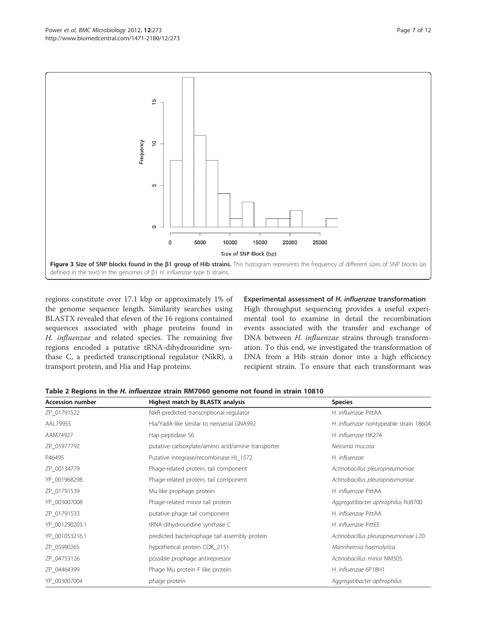

regions constitute over 17.1 kbp or approximately 1% of the genome sequence length. Similarity searches using BLASTX revealed that eleven of the 16 regions contained sequences associated with phage proteins found in H. influenzae and related species. The remaining five regions encoded a putative tRNA-dihydrouridine synthase C, a predicted transcriptional regulator (NikR), a transport protein, and Hia and Hap proteins.

#### Experimental assessment of H. influenzae transformation

High throughput sequencing provides a useful experimental tool to examine in detail the recombination events associated with the transfer and exchange of DNA between H. influenzae strains through transformation. To this end, we investigated the transformation of DNA from a Hib strain donor into a high efficiency recipient strain. To ensure that each transformant was

| Table 2 Regions in the <i>H. influenzae</i> strain RM7060 genome not found in strain 10810 |  |  |  |  |
|--------------------------------------------------------------------------------------------|--|--|--|--|
|--------------------------------------------------------------------------------------------|--|--|--|--|

| <b>Accession number</b> | Highest match by BLASTX analysis                  | <b>Species</b>                         |
|-------------------------|---------------------------------------------------|----------------------------------------|
| ZP_01791522             | NikR predicted transcriptional regulator          | H. influenzae PittAA                   |
| AAL79955                | Hia/YadA-like similar to neisserial GNA992        | H. influenzae nontypeable strain 1860A |
| AAM74927                | Hap peptidase S6                                  | H. influenzae HK274                    |
| ZP_05977792             | putative carboxylate/amino acid/amine transporter | Neisseria mucosa                       |
| P46495                  | Putative integrase/recombinase HI_1572            | H. influenzae                          |
| ZP_00134779             | Phage-related protein, tail component             | Actinobacillus pleuropneumoniae        |
| YP 001968298            | Phage-related protein, tail component             | Actinobacillus pleuropneumoniae        |
| ZP 01791539             | Mu-like prophage protein                          | H. influenzae PittAA                   |
| YP 003007008            | Phage-related minor tail protein                  | Aggregatibacter aphrophilus NJ8700     |
| ZP 01791533             | putative phage tail component                     | H. influenzae PittAA                   |
| YP 001290203.1          | tRNA-dihydrouridine synthase C                    | H. influenzae PittEE                   |
| YP 001053216.1          | predicted bacteriophage tail assembly protein     | Actinobacillus pleuropneumoniae L20    |
| ZP_05990265             | hypothetical protein COK_2151                     | Mannheimia haemolytica                 |
| ZP 04753126             | possible prophage antirepressor                   | Actinobacillus minor NM305             |
| ZP 04464399             | Phage Mu protein F like protein                   | H. influenzae 6P18H1                   |
| YP 003007004            | phage protein                                     | Aggregatibacter aphrophilus            |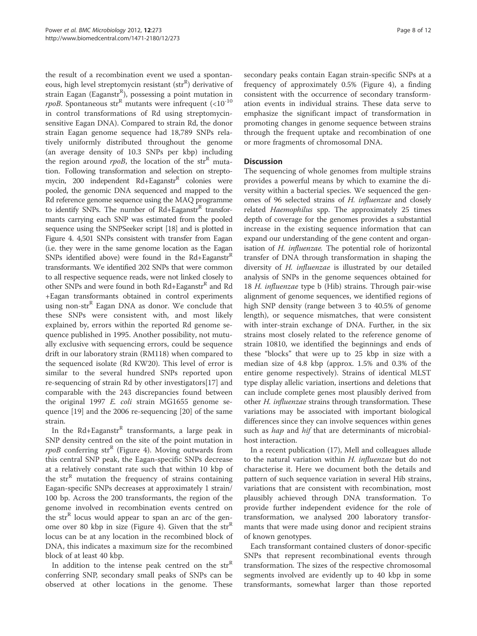the result of a recombination event we used a spontaneous, high level streptomycin resistant (str<sup>R</sup>) derivative of strain Eagan (Eaganstr<sup>R</sup>), possessing a point mutation in rpoB. Spontaneous str<sup>R</sup> mutants were infrequent  $(<10^{-10}$ in control transformations of Rd using streptomycinsensitive Eagan DNA). Compared to strain Rd, the donor strain Eagan genome sequence had 18,789 SNPs relatively uniformly distributed throughout the genome (an average density of 10.3 SNPs per kbp) including the region around rpoB, the location of the str<sup>R</sup> mutation. Following transformation and selection on streptomycin, 200 independent  $Rd + Eaganstr^R$  colonies were pooled, the genomic DNA sequenced and mapped to the Rd reference genome sequence using the MAQ programme to identify SNPs. The number of  $Rd + Eaganstr<sup>R</sup>$  transformants carrying each SNP was estimated from the pooled sequence using the SNPSeeker script [18] and is plotted in Figure 4. 4,501 SNPs consistent with transfer from Eagan (i.e. they were in the same genome location as the Eagan SNPs identified above) were found in the  $Rd+Eaganstr^{R}$ transformants. We identified 202 SNPs that were common to all respective sequence reads, were not linked closely to other SNPs and were found in both  $Rd + Eaganstr<sup>R</sup>$  and Rd +Eagan transformants obtained in control experiments using non-str $<sup>R</sup>$  Eagan DNA as donor. We conclude that</sup> these SNPs were consistent with, and most likely explained by, errors within the reported Rd genome sequence published in 1995. Another possibility, not mutually exclusive with sequencing errors, could be sequence drift in our laboratory strain (RM118) when compared to the sequenced isolate (Rd KW20). This level of error is similar to the several hundred SNPs reported upon re-sequencing of strain Rd by other investigators[17] and comparable with the 243 discrepancies found between the original 1997 E. coli strain MG1655 genome sequence [19] and the 2006 re-sequencing [20] of the same strain.

In the  $Rd+Eaganstr^{R}$  transformants, a large peak in SNP density centred on the site of the point mutation in  $rpoB$  conferring str<sup>R</sup> (Figure 4). Moving outwards from this central SNP peak, the Eagan-specific SNPs decrease at a relatively constant rate such that within 10 kbp of the str<sup>R</sup> mutation the frequency of strains containing Eagan-specific SNPs decreases at approximately 1 strain/ 100 bp. Across the 200 transformants, the region of the genome involved in recombination events centred on the str<sup>R</sup> locus would appear to span an arc of the genome over 80 kbp in size (Figure 4). Given that the  $str<sup>K</sup>$ locus can be at any location in the recombined block of DNA, this indicates a maximum size for the recombined block of at least 40 kbp.

In addition to the intense peak centred on the  $str<sup>K</sup>$ conferring SNP, secondary small peaks of SNPs can be observed at other locations in the genome. These secondary peaks contain Eagan strain-specific SNPs at a frequency of approximately 0.5% (Figure 4), a finding consistent with the occurrence of secondary transformation events in individual strains. These data serve to emphasize the significant impact of transformation in promoting changes in genome sequence between strains through the frequent uptake and recombination of one or more fragments of chromosomal DNA.

#### **Discussion**

The sequencing of whole genomes from multiple strains provides a powerful means by which to examine the diversity within a bacterial species. We sequenced the genomes of 96 selected strains of H. influenzae and closely related Haemophilus spp. The approximately 25 times depth of coverage for the genomes provides a substantial increase in the existing sequence information that can expand our understanding of the gene content and organisation of H. influenzae. The potential role of horizontal transfer of DNA through transformation in shaping the diversity of H. influenzae is illustrated by our detailed analysis of SNPs in the genome sequences obtained for 18 H. influenzae type b (Hib) strains. Through pair-wise alignment of genome sequences, we identified regions of high SNP density (range between 3 to 40.5% of genome length), or sequence mismatches, that were consistent with inter-strain exchange of DNA. Further, in the six strains most closely related to the reference genome of strain 10810, we identified the beginnings and ends of these "blocks" that were up to 25 kbp in size with a median size of 4.8 kbp (approx. 1.5% and 0.3% of the entire genome respectively). Strains of identical MLST type display allelic variation, insertions and deletions that can include complete genes most plausibly derived from other H. influenzae strains through transformation. These variations may be associated with important biological differences since they can involve sequences within genes such as *hap* and *hif* that are determinants of microbialhost interaction.

In a recent publication (17), Mell and colleagues allude to the natural variation within H. influenzae but do not characterise it. Here we document both the details and pattern of such sequence variation in several Hib strains, variations that are consistent with recombination, most plausibly achieved through DNA transformation. To provide further independent evidence for the role of transformation, we analysed 200 laboratory transformants that were made using donor and recipient strains of known genotypes.

Each transformant contained clusters of donor-specific SNPs that represent recombinational events through transformation. The sizes of the respective chromosomal segments involved are evidently up to 40 kbp in some transformants, somewhat larger than those reported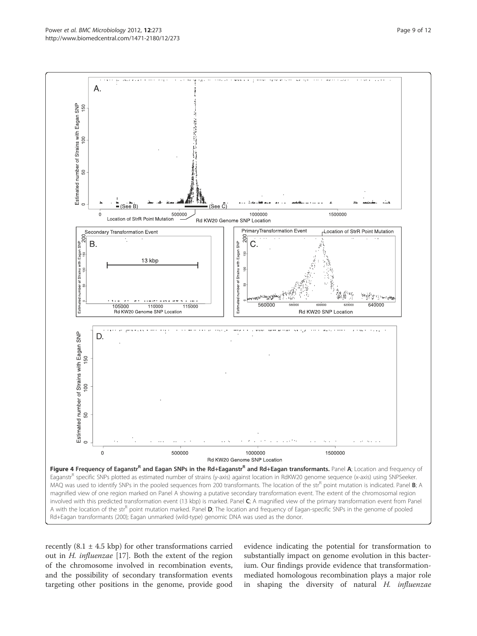

recently  $(8.1 \pm 4.5 \text{ kbp})$  for other transformations carried out in H. influenzae [17]. Both the extent of the region of the chromosome involved in recombination events, and the possibility of secondary transformation events targeting other positions in the genome, provide good

evidence indicating the potential for transformation to substantially impact on genome evolution in this bacterium. Our findings provide evidence that transformationmediated homologous recombination plays a major role in shaping the diversity of natural H. influenzae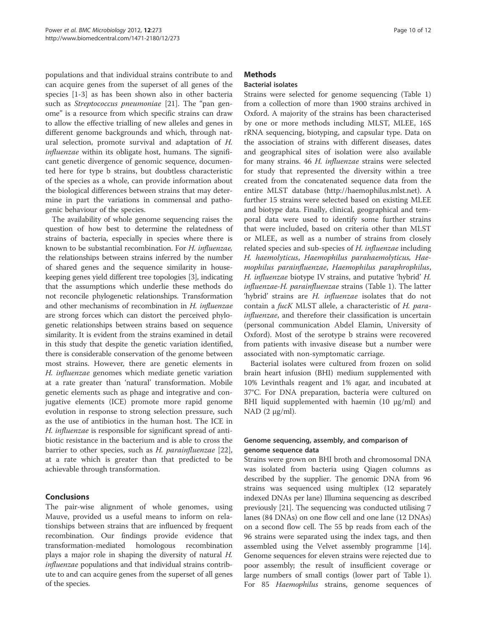populations and that individual strains contribute to and can acquire genes from the superset of all genes of the species [1-3] as has been shown also in other bacteria such as Streptococcus pneumoniae [21]. The "pan genome" is a resource from which specific strains can draw to allow the effective trialling of new alleles and genes in different genome backgrounds and which, through natural selection, promote survival and adaptation of H. influenzae within its obligate host, humans. The significant genetic divergence of genomic sequence, documented here for type b strains, but doubtless characteristic of the species as a whole, can provide information about the biological differences between strains that may determine in part the variations in commensal and pathogenic behaviour of the species.

The availability of whole genome sequencing raises the question of how best to determine the relatedness of strains of bacteria, especially in species where there is known to be substantial recombination. For H. influenzae, the relationships between strains inferred by the number of shared genes and the sequence similarity in housekeeping genes yield different tree topologies [3], indicating that the assumptions which underlie these methods do not reconcile phylogenetic relationships. Transformation and other mechanisms of recombination in H. influenzae are strong forces which can distort the perceived phylogenetic relationships between strains based on sequence similarity. It is evident from the strains examined in detail in this study that despite the genetic variation identified, there is considerable conservation of the genome between most strains. However, there are genetic elements in H. influenzae genomes which mediate genetic variation at a rate greater than 'natural' transformation. Mobile genetic elements such as phage and integrative and conjugative elements (ICE) promote more rapid genome evolution in response to strong selection pressure, such as the use of antibiotics in the human host. The ICE in H. influenzae is responsible for significant spread of antibiotic resistance in the bacterium and is able to cross the barrier to other species, such as H. parainfluenzae [22], at a rate which is greater than that predicted to be achievable through transformation.

#### Conclusions

The pair-wise alignment of whole genomes, using Mauve, provided us a useful means to inform on relationships between strains that are influenced by frequent recombination. Our findings provide evidence that transformation-mediated homologous recombination plays a major role in shaping the diversity of natural H. influenzae populations and that individual strains contribute to and can acquire genes from the superset of all genes of the species.

## **Methods**

## Bacterial isolates

Strains were selected for genome sequencing (Table 1) from a collection of more than 1900 strains archived in Oxford. A majority of the strains has been characterised by one or more methods including MLST, MLEE, 16S rRNA sequencing, biotyping, and capsular type. Data on the association of strains with different diseases, dates and geographical sites of isolation were also available for many strains. 46 H. influenzae strains were selected for study that represented the diversity within a tree created from the concatenated sequence data from the entire MLST database (http://haemophilus.mlst.net). A further 15 strains were selected based on existing MLEE and biotype data. Finally, clinical, geographical and temporal data were used to identify some further strains that were included, based on criteria other than MLST or MLEE, as well as a number of strains from closely related species and sub-species of H. influenzae including H. haemolyticus, Haemophilus parahaemolyticus, Haemophilus parainfluenzae, Haemophilus paraphrophilus, H. influenzae biotype IV strains, and putative 'hybrid' H. influenzae-H. parainfluenzae strains (Table 1). The latter 'hybrid' strains are H. influenzae isolates that do not contain a fucK MLST allele, a characteristic of H. parainfluenzae, and therefore their classification is uncertain (personal communication Abdel Elamin, University of Oxford). Most of the serotype b strains were recovered from patients with invasive disease but a number were associated with non-symptomatic carriage.

Bacterial isolates were cultured from frozen on solid brain heart infusion (BHI) medium supplemented with 10% Levinthals reagent and 1% agar, and incubated at 37°C. For DNA preparation, bacteria were cultured on BHI liquid supplemented with haemin (10 μg/ml) and  $NAD$  (2 μg/ml).

## Genome sequencing, assembly, and comparison of genome sequence data

Strains were grown on BHI broth and chromosomal DNA was isolated from bacteria using Qiagen columns as described by the supplier. The genomic DNA from 96 strains was sequenced using multiplex (12 separately indexed DNAs per lane) Illumina sequencing as described previously [21]. The sequencing was conducted utilising 7 lanes (84 DNAs) on one flow cell and one lane (12 DNAs) on a second flow cell. The 55 bp reads from each of the 96 strains were separated using the index tags, and then assembled using the Velvet assembly programme [14]. Genome sequences for eleven strains were rejected due to poor assembly; the result of insufficient coverage or large numbers of small contigs (lower part of Table 1). For 85 Haemophilus strains, genome sequences of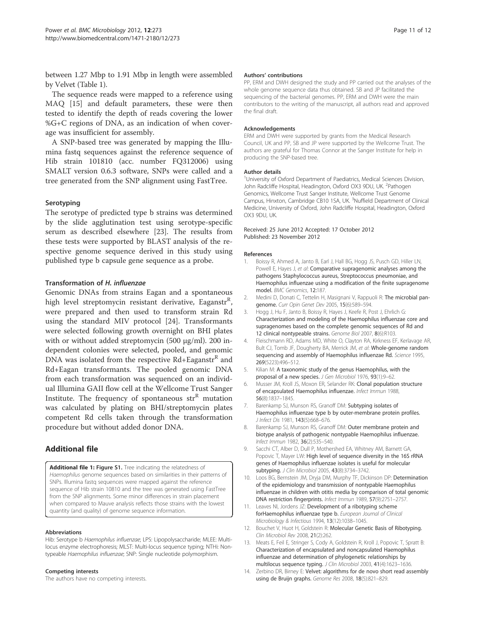between 1.27 Mbp to 1.91 Mbp in length were assembled by Velvet (Table 1).

The sequence reads were mapped to a reference using MAQ [15] and default parameters, these were then tested to identify the depth of reads covering the lower %G+C regions of DNA, as an indication of when coverage was insufficient for assembly.

A SNP-based tree was generated by mapping the Illumina fastq sequences against the reference sequence of Hib strain 101810 (acc. number FQ312006) using SMALT version 0.6.3 software, SNPs were called and a tree generated from the SNP alignment using FastTree.

#### Serotyping

The serotype of predicted type b strains was determined by the slide agglutination test using serotype-specific serum as described elsewhere [23]. The results from these tests were supported by BLAST analysis of the respective genome sequence derived in this study using published type b capsule gene sequence as a probe.

#### Transformation of H. influenzae

Genomic DNAs from strains Eagan and a spontaneous high level streptomycin resistant derivative, Eaganstr<sup>R</sup>, were prepared and then used to transform strain Rd using the standard MIV protocol [24]. Transformants were selected following growth overnight on BHI plates with or without added streptomycin (500 μg/ml). 200 independent colonies were selected, pooled, and genomic DNA was isolated from the respective  $Rd + Eaganstr<sup>R</sup>$  and Rd+Eagan transformants. The pooled genomic DNA from each transformation was sequenced on an individual Illumina GAII flow cell at the Wellcome Trust Sanger Institute. The frequency of spontaneous  $str<sup>R</sup>$  mutation was calculated by plating on BHI/streptomycin plates competent Rd cells taken through the transformation procedure but without added donor DNA.

## Additional file

Additional file 1: Figure S1. Tree indicating the relatedness of Haemophilus genome sequences based on similarities in their patterns of SNPs. Illumina fastq sequences were mapped against the reference sequence of Hib strain 10810 and the tree was generated using FastTree from the SNP alignments. Some minor differences in strain placement when compared to Mauve analysis reflects those strains with the lowest quantity (and quality) of genome sequence information.

#### Abbreviations

Hib: Serotype b Haemophilus influenzae; LPS: Lipopolysaccharide; MLEE: Multilocus enzyme electrophoresis; MLST: Multi-locus sequence typing; NTHi: Nontypeable Haemophilus influenzae; SNP: Single nucleotide polymorphism.

#### Competing interests

The authors have no competing interests.

#### Authors' contributions

PP, ERM and DWH designed the study and PP carried out the analyses of the whole genome sequence data thus obtained. SB and JP facilitated the sequencing of the bacterial genomes. PP, ERM and DWH were the main contributors to the writing of the manuscript, all authors read and approved the final draft.

#### Acknowledgements

ERM and DWH were supported by grants from the Medical Research Council, UK and PP, SB and JP were supported by the Wellcome Trust. The authors are grateful for Thomas Connor at the Sanger Institute for help in producing the SNP-based tree.

#### Author details

<sup>1</sup>University of Oxford Department of Paediatrics, Medical Sciences Division, John Radcliffe Hospital, Headington, Oxford OX3 9DU, UK. <sup>2</sup>Pathogen Genomics, Wellcome Trust Sanger Institute, Wellcome Trust Genome Campus, Hinxton, Cambridge CB10 1SA, UK. <sup>3</sup>Nuffield Department of Clinical Medicine, University of Oxford, John Radcliffe Hospital, Headington, Oxford OX3 9DU, UK.

#### Received: 25 June 2012 Accepted: 17 October 2012 Published: 23 November 2012

#### References

- 1. Boissy R, Ahmed A, Janto B, Earl J, Hall BG, Hogg JS, Pusch GD, Hiller LN, Powell E, Hayes J, et al: Comparative supragenomic analyses among the pathogens Staphylococcus aureus, Streptococcus pneumoniae, and Haemophilus influenzae using a modification of the finite supragenome model. BMC Genomics, 12:187.
- 2. Medini D, Donati C, Tettelin H, Masignani V, Rappuoli R: The microbial pangenome. Curr Opin Genet Dev 2005, 15(6):589–594.
- 3. Hogg J, Hu F, Janto B, Boissy R, Hayes J, Keefe R, Post J, Ehrlich G: Characterization and modeling of the Haemophilus influenzae core and supragenomes based on the complete genomic sequences of Rd and 12 clinical nontypeable strains. Genome Biol 2007, 8(6):R103.
- 4. Fleischmann RD, Adams MD, White O, Clayton RA, Kirkness EF, Kerlavage AR, Bult CJ, Tomb JF, Dougherty BA, Merrick JM, et al: Whole-genome random sequencing and assembly of Haemophilus influenzae Rd. Science 1995, 269(5223):496–512.
- 5. Kilian M: A taxonomic study of the genus Haemophilus, with the proposal of a new species. J Gen Microbiol 1976, 93(1):9-62.
- 6. Musser JM, Kroll JS, Moxon ER, Selander RK: Clonal population structure of encapsulated Haemophilus influenzae. Infect Immun 1988, 56(8):1837–1845.
- 7. Barenkamp SJ, Munson RS, Granoff DM: Subtyping isolates of Haemophilus influenzae type b by outer-membrane protein profiles. J Infect Dis 1981, 143(5):668–676.
- Barenkamp SJ, Munson RS, Granoff DM: Outer membrane protein and biotype analysis of pathogenic nontypable Haemophilus influenzae. Infect Immun 1982, 36(2):535–540.
- 9. Sacchi CT, Alber D, Dull P, Mothershed EA, Whitney AM, Barnett GA, Popovic T, Mayer LW: High level of sequence diversity in the 16S rRNA genes of Haemophilus influenzae isolates is useful for molecular subtyping. J Clin Microbiol 2005, 43(8):3734–3742.
- 10. Loos BG, Bernstein JM, Dryja DM, Murphy TF, Dickinson DP: Determination of the epidemiology and transmission of nontypable Haemophilus influenzae in children with otitis media by comparison of total genomic DNA restriction fingerprints. Infect Immun 1989, 57(9):2751–2757.
- 11. Leaves NI, Jordens JZ: Development of a ribotyping scheme forHaemophilus influenzae type b. European Journal of Clinical Microbiology & Infectious 1994, 13(12):1038–1045.
- 12. Bouchet V, Huot H, Goldstein R: Molecular Genetic Basis of Ribotyping. Clin Microbiol Rev 2008, 21(2):262.
- 13. Meats E, Feil E, Stringer S, Cody A, Goldstein R, Kroll J, Popovic T, Spratt B: Characterization of encapsulated and noncapsulated Haemophilus influenzae and determination of phylogenetic relationships by multilocus sequence typing. J Clin Microbiol 2003, 41(4):1623–1636.
- 14. Zerbino DR, Birney E: Velvet: algorithms for de novo short read assembly using de Bruijn graphs. Genome Res 2008, 18(5):821–829.